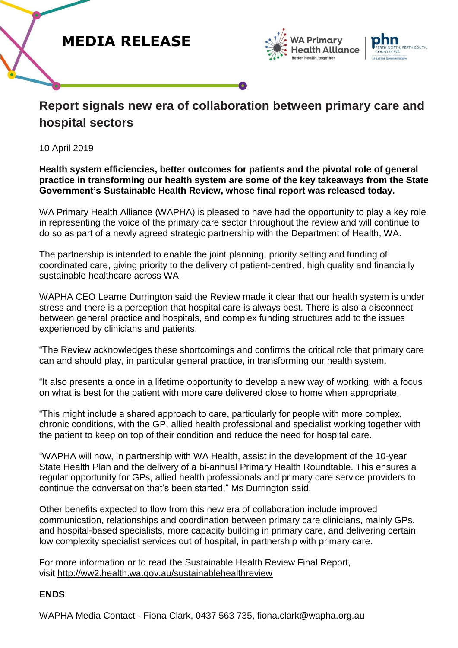



## **Report signals new era of collaboration between primary care and hospital sectors**

10 April 2019

## **Health system efficiencies, better outcomes for patients and the pivotal role of general practice in transforming our health system are some of the key takeaways from the State Government's Sustainable Health Review, whose final report was released today.**

WA Primary Health Alliance (WAPHA) is pleased to have had the opportunity to play a key role in representing the voice of the primary care sector throughout the review and will continue to do so as part of a newly agreed strategic partnership with the Department of Health, WA.

The partnership is intended to enable the joint planning, priority setting and funding of coordinated care, giving priority to the delivery of patient-centred, high quality and financially sustainable healthcare across WA.

WAPHA CEO Learne Durrington said the Review made it clear that our health system is under stress and there is a perception that hospital care is always best. There is also a disconnect between general practice and hospitals, and complex funding structures add to the issues experienced by clinicians and patients.

"The Review acknowledges these shortcomings and confirms the critical role that primary care can and should play, in particular general practice, in transforming our health system.

"It also presents a once in a lifetime opportunity to develop a new way of working, with a focus on what is best for the patient with more care delivered close to home when appropriate.

"This might include a shared approach to care, particularly for people with more complex, chronic conditions, with the GP, allied health professional and specialist working together with the patient to keep on top of their condition and reduce the need for hospital care.

"WAPHA will now, in partnership with WA Health, assist in the development of the 10-year State Health Plan and the delivery of a bi-annual Primary Health Roundtable. This ensures a regular opportunity for GPs, allied health professionals and primary care service providers to continue the conversation that's been started," Ms Durrington said.

Other benefits expected to flow from this new era of collaboration include improved communication, relationships and coordination between primary care clinicians, mainly GPs, and hospital-based specialists, more capacity building in primary care, and delivering certain low complexity specialist services out of hospital, in partnership with primary care.

For more information or to read the Sustainable Health Review Final Report, visit <http://ww2.health.wa.gov.au/sustainablehealthreview>

## **ENDS**

WAPHA Media Contact - Fiona Clark, 0437 563 735, fiona.clark@wapha.org.au